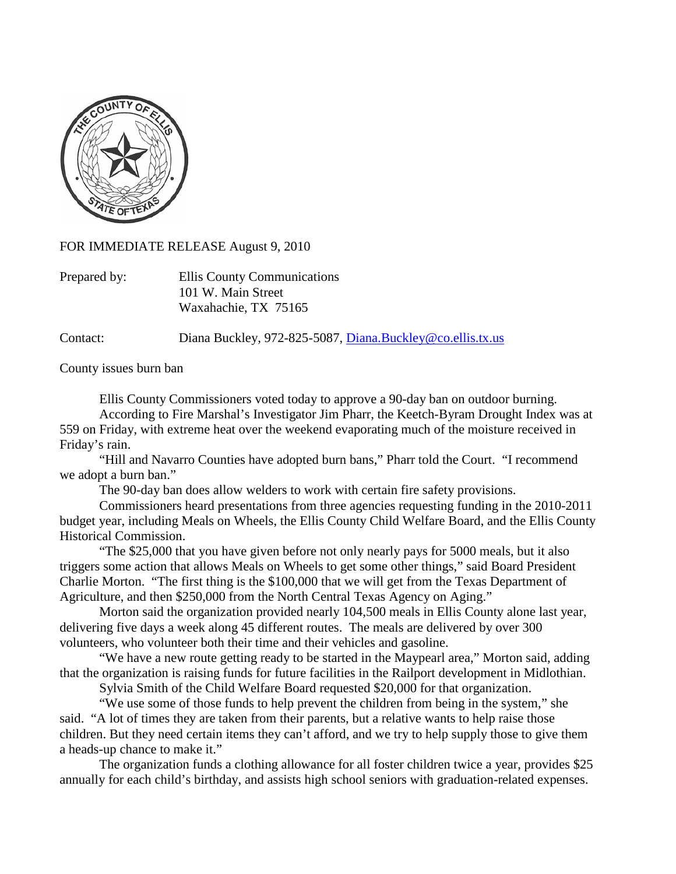

FOR IMMEDIATE RELEASE August 9, 2010

| Prepared by: | Ellis County Communications |
|--------------|-----------------------------|
|              | 101 W. Main Street          |
|              | Waxahachie, TX 75165        |

Contact: Diana Buckley, 972-825-5087, [Diana.Buckley@co.ellis.tx.us](mailto:Diana.Buckley@co.ellis.tx.us)

County issues burn ban

Ellis County Commissioners voted today to approve a 90-day ban on outdoor burning. According to Fire Marshal's Investigator Jim Pharr, the Keetch-Byram Drought Index was at 559 on Friday, with extreme heat over the weekend evaporating much of the moisture received in Friday's rain.

"Hill and Navarro Counties have adopted burn bans," Pharr told the Court. "I recommend we adopt a burn ban."

The 90-day ban does allow welders to work with certain fire safety provisions.

Commissioners heard presentations from three agencies requesting funding in the 2010-2011 budget year, including Meals on Wheels, the Ellis County Child Welfare Board, and the Ellis County Historical Commission.

"The \$25,000 that you have given before not only nearly pays for 5000 meals, but it also triggers some action that allows Meals on Wheels to get some other things," said Board President Charlie Morton. "The first thing is the \$100,000 that we will get from the Texas Department of Agriculture, and then \$250,000 from the North Central Texas Agency on Aging."

Morton said the organization provided nearly 104,500 meals in Ellis County alone last year, delivering five days a week along 45 different routes. The meals are delivered by over 300 volunteers, who volunteer both their time and their vehicles and gasoline.

"We have a new route getting ready to be started in the Maypearl area," Morton said, adding that the organization is raising funds for future facilities in the Railport development in Midlothian.

Sylvia Smith of the Child Welfare Board requested \$20,000 for that organization.

"We use some of those funds to help prevent the children from being in the system," she said. "A lot of times they are taken from their parents, but a relative wants to help raise those children. But they need certain items they can't afford, and we try to help supply those to give them a heads-up chance to make it."

The organization funds a clothing allowance for all foster children twice a year, provides \$25 annually for each child's birthday, and assists high school seniors with graduation-related expenses.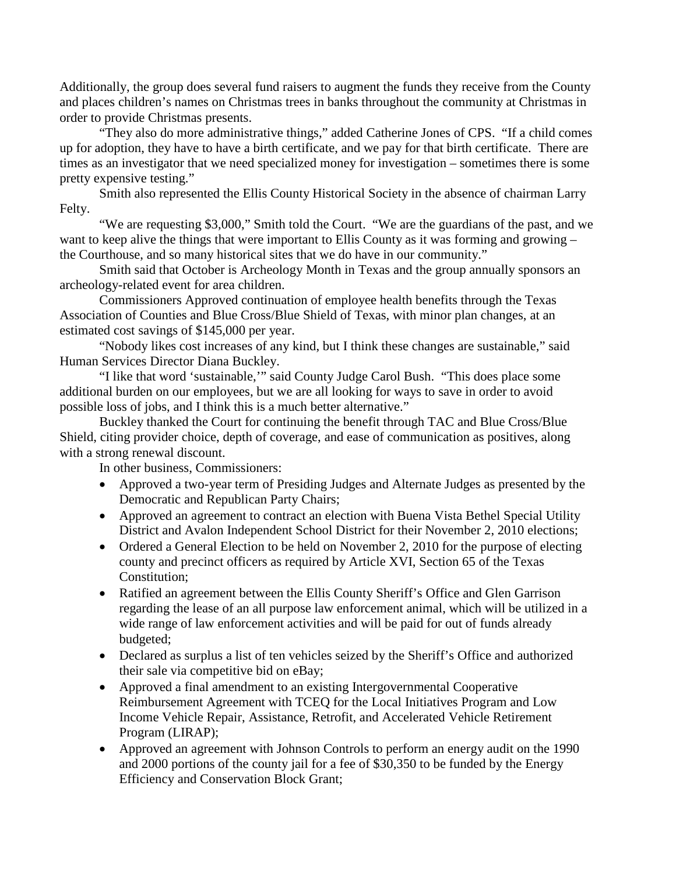Additionally, the group does several fund raisers to augment the funds they receive from the County and places children's names on Christmas trees in banks throughout the community at Christmas in order to provide Christmas presents.

"They also do more administrative things," added Catherine Jones of CPS. "If a child comes up for adoption, they have to have a birth certificate, and we pay for that birth certificate. There are times as an investigator that we need specialized money for investigation – sometimes there is some pretty expensive testing."

Smith also represented the Ellis County Historical Society in the absence of chairman Larry Felty.

"We are requesting \$3,000," Smith told the Court. "We are the guardians of the past, and we want to keep alive the things that were important to Ellis County as it was forming and growing – the Courthouse, and so many historical sites that we do have in our community."

Smith said that October is Archeology Month in Texas and the group annually sponsors an archeology-related event for area children.

Commissioners Approved continuation of employee health benefits through the Texas Association of Counties and Blue Cross/Blue Shield of Texas, with minor plan changes, at an estimated cost savings of \$145,000 per year.

"Nobody likes cost increases of any kind, but I think these changes are sustainable," said Human Services Director Diana Buckley.

"I like that word 'sustainable,'" said County Judge Carol Bush. "This does place some additional burden on our employees, but we are all looking for ways to save in order to avoid possible loss of jobs, and I think this is a much better alternative."

Buckley thanked the Court for continuing the benefit through TAC and Blue Cross/Blue Shield, citing provider choice, depth of coverage, and ease of communication as positives, along with a strong renewal discount.

In other business, Commissioners:

- Approved a two-year term of Presiding Judges and Alternate Judges as presented by the Democratic and Republican Party Chairs;
- Approved an agreement to contract an election with Buena Vista Bethel Special Utility District and Avalon Independent School District for their November 2, 2010 elections;
- Ordered a General Election to be held on November 2, 2010 for the purpose of electing county and precinct officers as required by Article XVI, Section 65 of the Texas Constitution;
- Ratified an agreement between the Ellis County Sheriff's Office and Glen Garrison regarding the lease of an all purpose law enforcement animal, which will be utilized in a wide range of law enforcement activities and will be paid for out of funds already budgeted;
- Declared as surplus a list of ten vehicles seized by the Sheriff's Office and authorized their sale via competitive bid on eBay;
- Approved a final amendment to an existing Intergovernmental Cooperative Reimbursement Agreement with TCEQ for the Local Initiatives Program and Low Income Vehicle Repair, Assistance, Retrofit, and Accelerated Vehicle Retirement Program (LIRAP);
- Approved an agreement with Johnson Controls to perform an energy audit on the 1990 and 2000 portions of the county jail for a fee of \$30,350 to be funded by the Energy Efficiency and Conservation Block Grant;